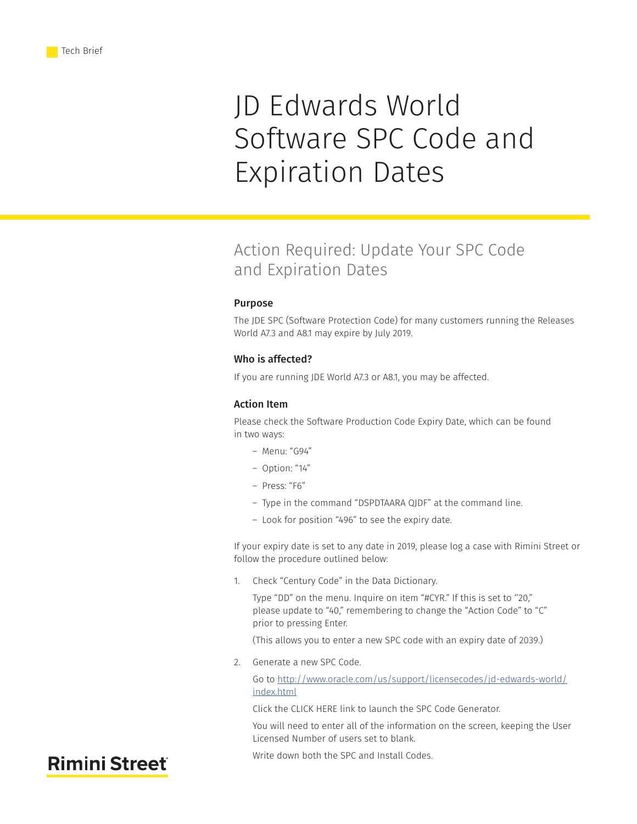# JD Edwards World Software SPC Code and Expiration Dates

## Action Required: Update Your SPC Code and Expiration Dates

#### Purpose

The JDE SPC (Software Protection Code) for many customers running the Releases World A7.3 and A8.1 may expire by July 2019.

### Who is affected?

If you are running JDE World A7.3 or A8.1, you may be affected.

#### Action Item

Please check the Software Production Code Expiry Date, which can be found in two ways:

- ― Menu: "G94"
- ― Option: "14"
- ― Press: "F6"
- ― Type in the command "DSPDTAARA QJDF" at the command line.
- ― Look for position "496" to see the expiry date.

If your expiry date is set to any date in 2019, please log a case with Rimini Street or follow the procedure outlined below:

1. Check "Century Code" in the Data Dictionary.

Type "DD" on the menu. Inquire on item "#CYR." If this is set to ''20," please update to "40," remembering to change the "Action Code" to "C" prior to pressing Enter.

(This allows you to enter a new SPC code with an expiry date of 2039.)

2. Generate a new SPC Code.

Go to [http://www.oracle.com/us/support/licensecodes/jd-edwards-world/](http://www.oracle.com/us/support/licensecodes/jd-edwards-world/index.html) [index.html](http://www.oracle.com/us/support/licensecodes/jd-edwards-world/index.html)

Click the CLICK HERE link to launch the SPC Code Generator.

You will need to enter all of the information on the screen, keeping the User Licensed Number of users set to blank.

Write down both the SPC and Install Codes.

## **Rimini Street**